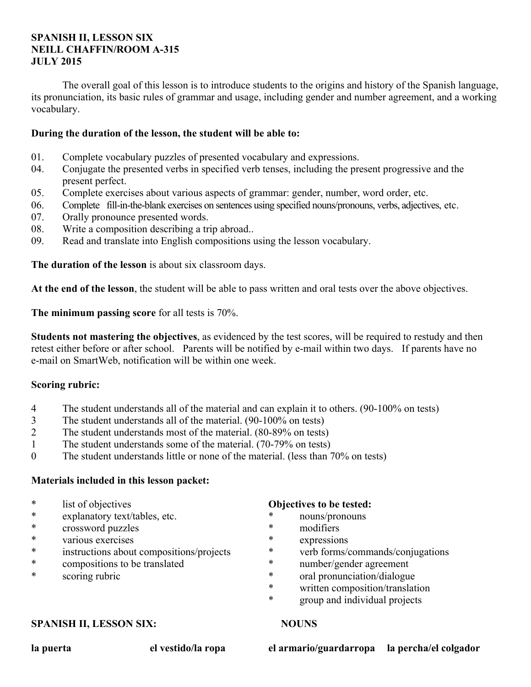## **SPANISH II, LESSON SIX NEILL CHAFFIN/ROOM A-315 JULY 2015**

 The overall goal of this lesson is to introduce students to the origins and history of the Spanish language, its pronunciation, its basic rules of grammar and usage, including gender and number agreement, and a working vocabulary.

## **During the duration of the lesson, the student will be able to:**

- 01. Complete vocabulary puzzles of presented vocabulary and expressions.
- 04. Conjugate the presented verbs in specified verb tenses, including the present progressive and the present perfect.
- 05. Complete exercises about various aspects of grammar: gender, number, word order, etc.
- 06. Complete fill-in-the-blank exercises on sentences using specified nouns/pronouns, verbs, adjectives, etc.
- 07. Orally pronounce presented words.
- 08. Write a composition describing a trip abroad..
- 09. Read and translate into English compositions using the lesson vocabulary.

**The duration of the lesson** is about six classroom days.

**At the end of the lesson**, the student will be able to pass written and oral tests over the above objectives.

**The minimum passing score** for all tests is 70%.

**Students not mastering the objectives**, as evidenced by the test scores, will be required to restudy and then retest either before or after school. Parents will be notified by e-mail within two days. If parents have no e-mail on SmartWeb, notification will be within one week.

## **Scoring rubric:**

- 4 The student understands all of the material and can explain it to others. (90-100% on tests)
- 3 The student understands all of the material. (90-100% on tests)
- 2 The student understands most of the material. (80-89% on tests)
- 1 The student understands some of the material. (70-79% on tests)
- 0 The student understands little or none of the material. (less than 70% on tests)

### **Materials included in this lesson packet:**

- \* list of objectives
- \* explanatory text/tables, etc.
- \* crossword puzzles
- various exercises
- \* instructions about compositions/projects
- \* compositions to be translated
- \* scoring rubric

#### **Objectives to be tested:**

- \* nouns/pronouns
- \* modifiers
- expressions
- \* verb forms/commands/conjugations
- \* number/gender agreement
- \* oral pronunciation/dialogue
- \* written composition/translation
- \* group and individual projects

### **SPANISH II, LESSON SIX:** NOUNS

**la puerta el vestido/la ropa el armario/guardarropa la percha/el colgador**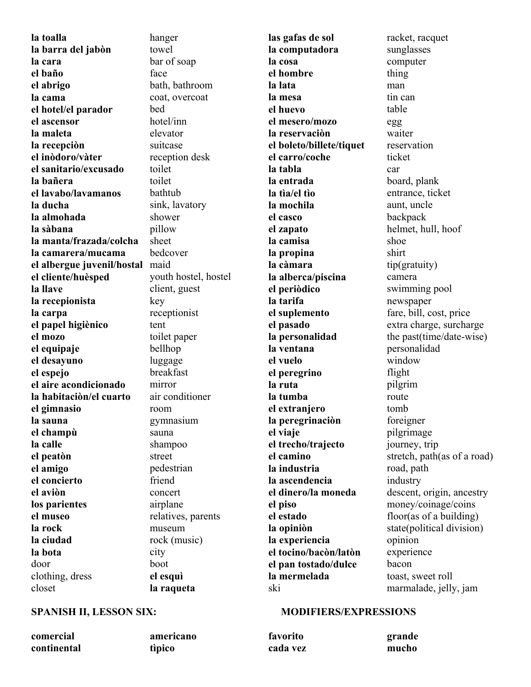**la toalla la barra del jabòn la cara el baño el abrigo la cama el hotel/el parador el ascensor la maleta la recepciòn el inòdoro/vàter el sanitario/excusado la bañera el lavabo/lavamanos la ducha la almohada la sàbana la manta/frazada/colcha la camarera/mucama el albergue juvenil/hostal**  maid **el cliente/huèsped la llave la recepionista la carpa el papel higiènico el mozo el equipaje el desayuno el espejo el aire acondicionado la habitaciòn/el cuarto el gimnasio la sauna el champù la calle el peatòn el amigo el concierto el aviòn los parientes el museo la rock la ciudad la bota** door clothing, dress closet

hanger towel bar of soap face bath, bathroom coat, overcoat bed hotel/inn elevator suitcase reception desk toilet toilet bathtub sink, lavatory shower pillow sheet bedcover youth hostel, hostel client, guest key receptionist tent toilet paper bellhop luggage breakfast mirror air conditioner room gymnasium sauna shampoo street pedestrian friend concert airplane relatives, parents museum rock (music) city boot **el esquì** 

**las gafas de sol la computadora la cosa el hombre la lata la mesa el huevo el mesero/mozo la reservaciòn el boleto/billete/tiquet el carro/coche la tabla la entrada la tìa/el tìo la mochila el casco el zapato la camisa la propina la càmara la alberca/piscina el periòdico la tarifa el suplemento el pasado la personalidad la ventana el vuelo el peregrino la ruta la tumba el extranjero la peregrinaciòn el viaje el trecho/trajecto el camino la industria la ascendencia el dinero/la moneda el piso el estado la opiniòn la experiencia el tocino/bacòn/latòn el pan tostado/dulce la mermelada** ski

racket, racquet sunglasses computer thing man tin can table egg waiter reservation ticket car board, plank entrance, ticket aunt, uncle backpack helmet, hull, hoof shoe shirt tip(gratuity) camera swimming pool newspaper fare, bill, cost, price extra charge, surcharge the past(time/date-wise) personalidad window flight pilgrim route tomb foreigner pilgrimage journey, trip stretch, path(as of a road) road, path industry descent, origin, ancestry money/coinage/coins floor(as of a building) state(political division) opinion experience bacon toast, sweet roll marmalade, jelly, jam

**comercial continental**  **americano tìpico** 

**la raqueta** 

### **SPANISH II, LESSON SIX: MODIFIERS/EXPRESSIONS**

**favorito cada vez** 

**grande mucho**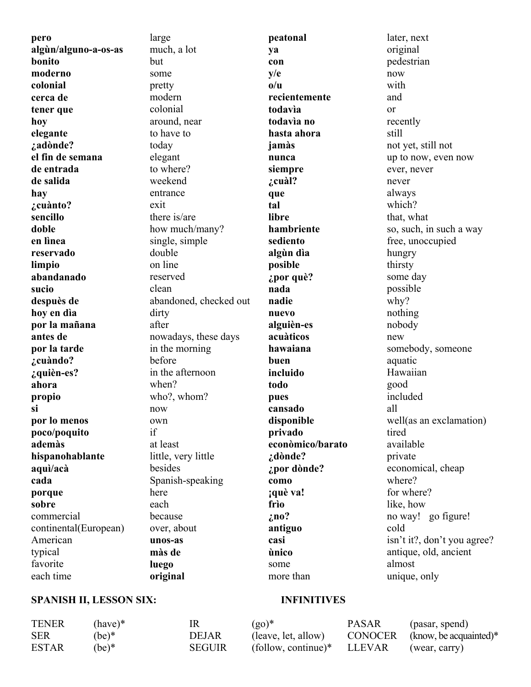**pero algùn/alguno-a-os-as bonito moderno colonial cerca de tener que hoy elegante ¿adònde? el fin de semana de entrada de salida hay ¿cuànto? sencillo doble en lìnea reservado limpio abandanado sucio despuès de hoy en dìa por la mañana antes de por la tarde ¿cuàndo? ¿quièn-es? ahora propio si por lo menos poco/poquito ademàs hispanohablante aquì/acà cada porque sobre** commercial continental(European) American typical favorite each time

large much, a lot but some pretty modern colonial around, near to have to today elegant to where? weekend entrance exit there is/are how much/many? single, simple double on line reserved clean abandoned, checked out dirty after nowadays, these days in the morning before in the afternoon when? who?, whom? now own if at least little, very little besides Spanish-speaking here each because over, about **unos-as màs de luego original** 

**peatonal ya con y/e o/u recientemente todavìa todavìa no hasta ahora jamàs nunca siempre ¿cuàl? que tal libre hambriente sediento algùn dìa posible ¿por què? nada nadie nuevo alguièn-es acuàticos hawaiana buen incluido todo pues cansado disponible privado econòmico/barato ¿dònde? ¿por dònde? como ¡què va! frìo ¿no? antiguo casi ùnico** some

later, next original pedestrian now with and or recently still not yet, still not up to now, even now ever, never never always which? that, what so, such, in such a way free, unoccupied hungry thirsty some day possible why? nothing nobody new somebody, someone aquatic Hawaiian good included all well(as an exclamation) tired available private economical, cheap where? for where? like, how no way! go figure! cold isn't it?, don't you agree? antique, old, ancient almost unique, only

## **SPANISH II, LESSON SIX: INFINITIVES**

more than

| <b>TENER</b> | $(have)*$ | IR            | $(g_0)^*$                                       | <b>PASAR</b> | (pasar, spend)                   |
|--------------|-----------|---------------|-------------------------------------------------|--------------|----------------------------------|
| <b>SER</b>   | $(be)*$   | <b>DEJAR</b>  | (leave, let, allow)                             |              | $CONOCER$ (know, be acquainted)* |
| <b>ESTAR</b> | $(be)^*$  | <b>SEGUIR</b> | $\text{follow, continue}^* \quad \text{LLEVAR}$ |              | (wear, carry)                    |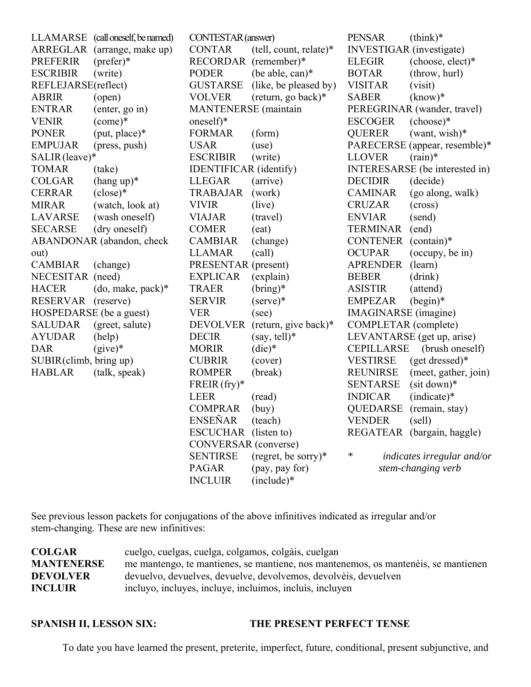LLAMARSE (call oneself, be named) ARREGLAR (arrange, make up) PREFERIR (prefer)\* ESCRIBIR (write) REFLEJARSE(reflect) ABRIR (open) ENTRAR (enter, go in) VENIR (come)\* PONER (put, place)\* EMPUJAR (press, push) SALIR (leave)\* TOMAR (take)  $COLGAR$  (hang up)\* CERRAR (close)\* MIRAR (watch, look at) LAVARSE (wash oneself) SECARSE (dry oneself) ABANDONAR (abandon, check out) CAMBIAR (change) NECESITAR (need) HACER (do, make, pack)\* RESERVAR (reserve) HOSPEDARSE (be a guest) SALUDAR (greet, salute) AYUDAR (help) DAR (give)\* SUBIR (climb, bring up) HABLAR (talk, speak) CONTESTAR (answer) RECORDAR (remember)\* PODER (be able, can)\* MANTENERSE (maintain oneself)\* FORMAR (form) USAR (use) ESCRIBIR (write) IDENTIFICAR (identify) LLEGAR (arrive) TRABAJAR (work) VIVIR (live) VIAJAR (travel) COMER (eat) CAMBIAR (change) LLAMAR (call) PRESENTAR (present) EXPLICAR (explain) TRAER (bring)\* SERVIR (serve)\* VER (see) DECIR  $(say, tell)*$ MORIR (die)\* CUBRIR (cover) ROMPER (break) FREIR (fry)\* LEER (read) COMPRAR (buy)

CONTAR (tell, count, relate)\* GUSTARSE (like, be pleased by) VOLVER (return, go back)\* DEVOLVER (return, give back)\* ENSEÑAR (teach) ESCUCHAR (listen to) CONVERSAR (converse) SENTIRSE (regret, be sorry)\* PAGAR (pay, pay for) PENSAR (think)\* INVESTIGAR (investigate) ELEGIR (choose, elect)\* BOTAR (throw, hurl) VISITAR (visit) SABER (know)\* PEREGRINAR (wander, travel) ESCOGER (choose)\* QUERER (want, wish)\* PARECERSE (appear, resemble)\* LLOVER (rain)\* INTERESARSE (be interested in) DECIDIR (decide) CAMINAR (go along, walk) CRUZAR (cross) ENVIAR (send) TERMINAR (end) CONTENER (contain)\* OCUPAR (occupy, be in) APRENDER (learn) BEBER (drink) ASISTIR (attend) EMPEZAR (begin)\* IMAGINARSE (imagine) COMPLETAR (complete) LEVANTARSE (get up, arise) CEPILLARSE (brush oneself) VESTIRSE (get dressed)\* REUNIRSE (meet, gather, join) SENTARSE (sit down)\* INDICAR (indicate)\* QUEDARSE (remain, stay) VENDER (sell) REGATEAR (bargain, haggle) *\* indicates irregular and/or stem-changing verb*

See previous lesson packets for conjugations of the above infinitives indicated as irregular and/or stem-changing. These are new infinitives:

INCLUIR (include)\*

| <b>COLGAR</b>     | cuelgo, cuelgas, cuelga, colgamos, colgàis, cuelgan                                |
|-------------------|------------------------------------------------------------------------------------|
| <b>MANTENERSE</b> | me mantengo, te mantienes, se mantiene, nos mantenemos, os manteneis, se mantienen |
| <b>DEVOLVER</b>   | devuelvo, devuelves, devuelve, devolvemos, devolvèis, devuelven                    |
| <b>INCLUIR</b>    | incluyo, incluyes, incluye, incluimos, incluis, incluyen                           |

#### **SPANISH II, LESSON SIX: THE PRESENT PERFECT TENSE**

To date you have learned the present, preterite, imperfect, future, conditional, present subjunctive, and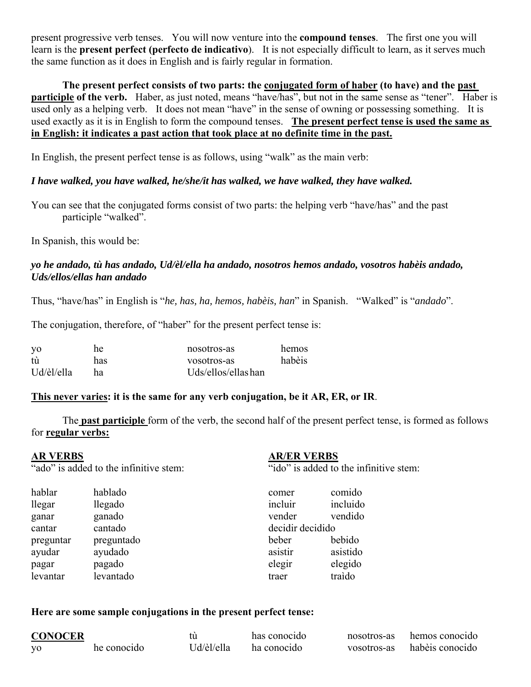present progressive verb tenses. You will now venture into the **compound tenses**. The first one you will learn is the **present perfect (perfecto de indicativo**). It is not especially difficult to learn, as it serves much the same function as it does in English and is fairly regular in formation.

 **The present perfect consists of two parts: the conjugated form of haber (to have) and the past participle of the verb.** Haber, as just noted, means "have/has", but not in the same sense as "tener". Haber is used only as a helping verb. It does not mean "have" in the sense of owning or possessing something. It is used exactly as it is in English to form the compound tenses. **The present perfect tense is used the same as in English: it indicates a past action that took place at no definite time in the past.**

In English, the present perfect tense is as follows, using "walk" as the main verb:

## *I have walked, you have walked, he/she/it has walked, we have walked, they have walked.*

You can see that the conjugated forms consist of two parts: the helping verb "have/has" and the past participle "walked".

In Spanish, this would be:

## *yo he andado, tù has andado, Ud/èl/ella ha andado, nosotros hemos andado, vosotros habèis andado, Uds/ellos/ellas han andado*

Thus, "have/has" in English is "*he, has, ha, hemos, habèis, han*" in Spanish. "Walked" is "*andado*".

The conjugation, therefore, of "haber" for the present perfect tense is:

| yo         | he  | nosotros-as           | hemos  |
|------------|-----|-----------------------|--------|
| tù         | has | vosotros-as           | habèis |
| Ud/èl/ella | hя  | $Uds/ellos/ellas$ han |        |

## **This never varies: it is the same for any verb conjugation, be it AR, ER, or IR**.

 The **past participle** form of the verb, the second half of the present perfect tense, is formed as follows for **regular verbs:**

| <b>AR VERBS</b> |                                        | <b>AR/ER VERBS</b> |                                        |
|-----------------|----------------------------------------|--------------------|----------------------------------------|
|                 | "ado" is added to the infinitive stem: |                    | "ido" is added to the infinitive stem: |
| hablar          | hablado                                | comer              | comido                                 |
| llegar          | llegado                                | incluir            | incluido                               |
| ganar           | ganado                                 | vender             | vendido                                |
| cantar          | cantado                                | decidir decidido   |                                        |
| preguntar       | preguntado                             | beber              | bebido                                 |
| ayudar          | ayudado                                | asistir            | asistido                               |
| pagar           | pagado                                 | elegir             | elegido                                |
| levantar        | levantado                              | traer              | traido                                 |

### **Here are some sample conjugations in the present perfect tense:**

| <b>CONOCER</b> |             |             | has conocido | nosotros-as | hemos conocido  |
|----------------|-------------|-------------|--------------|-------------|-----------------|
| V <sub>0</sub> | he conocido | "Jd/èl/ella | ha conocido  | vosotros-as | habèis conocido |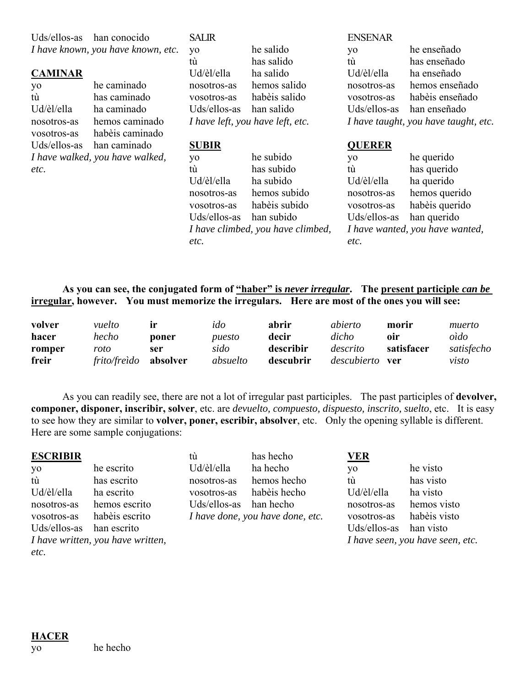| Uds/ellos-as               | han conocido<br>I have known, you have known, etc. | <b>SALIR</b><br>yo<br>tù  | he salido<br>has salido           | <b>ENSENAR</b><br>yo<br>tù | he enseñado<br>has enseñado          |
|----------------------------|----------------------------------------------------|---------------------------|-----------------------------------|----------------------------|--------------------------------------|
| <b>CAMINAR</b>             | he caminado                                        | Ud/èl/ella<br>nosotros-as | ha salido<br>hemos salido         | Ud/èl/ella<br>nosotros-as  | ha enseñado<br>hemos enseñado        |
| yo<br>tù                   | has caminado                                       | vosotros-as               | habèis salido                     | vosotros-as                | habèis enseñado                      |
| Ud/èl/ella                 | ha caminado                                        | Uds/ellos-as              | han salido                        | Uds/ellos-as               | han enseñado                         |
| nosotros-as<br>vosotros-as | hemos caminado<br>habèis caminado                  |                           | I have left, you have left, etc.  |                            | I have taught, you have taught, etc. |
| Uds/ellos-as               | han caminado                                       | <b>SUBIR</b>              |                                   | <b>QUERER</b>              |                                      |
|                            | I have walked, you have walked,                    | yo                        | he subido                         | yo                         | he querido                           |
| etc.                       |                                                    | tù                        | has subido                        | tù                         | has querido                          |
|                            |                                                    | Ud/èl/ella                | ha subido                         | Ud/èl/ella                 | ha querido                           |
|                            |                                                    | nosotros-as               | hemos subido                      | nosotros-as                | hemos querido                        |
|                            |                                                    | vosotros-as               | habèis subido                     | vosotros-as                | habèis querido                       |
|                            |                                                    | Uds/ellos-as              | han subido                        | Uds/ellos-as               | han querido                          |
|                            |                                                    |                           | I have climbed, you have climbed, |                            | I have wanted, you have wanted,      |
|                            |                                                    | etc.                      |                                   | etc.                       |                                      |

# **As you can see, the conjugated form of "haber" is** *never irregular***. The present participle** *can be* **irregular, however. You must memorize the irregulars. Here are most of the ones you will see:**

| volver | vuelto       | 1r       | ido      | abrir     | abierto     | morir      | muerto     |
|--------|--------------|----------|----------|-----------|-------------|------------|------------|
| hacer  | hecho        | poner    | puesto   | decir     | dicho       | oir        | oìdo       |
| romper | roto         | ser      | sido     | describir | descrito    | satisfacer | satisfecho |
| freir  | frito/freìdo | absolver | absuelto | descubrir | descubierto | ver        | visto      |

 As you can readily see, there are not a lot of irregular past participles. The past participles of **devolver, componer, disponer, inscribir, solver**, etc. are *devuelto, compuesto, dispuesto, inscrito, suelto*, etc. It is easy to see how they are similar to **volver, poner, escribir, absolver**, etc. Only the opening syllable is different. Here are some sample conjugations:

| <b>ESCRIBIR</b>     |                                   | tù           | has hecho                        | <b>VER</b>   |                                  |
|---------------------|-----------------------------------|--------------|----------------------------------|--------------|----------------------------------|
| yo                  | he escrito                        | Ud/èl/ella   | ha hecho                         | yo           | he visto                         |
| $\ddot{\mathrm{u}}$ | has escrito                       | nosotros-as  | hemos hecho                      | tù           | has visto                        |
| Ud/èl/ella          | ha escrito                        | vosotros-as  | habèis hecho                     | Ud/èl/ella   | ha visto                         |
| nosotros-as         | hemos escrito                     | Uds/ellos-as | han hecho                        | nosotros-as  | hemos visto                      |
| vosotros-as         | habèis escrito                    |              | I have done, you have done, etc. | vosotros-as  | habèis visto                     |
| Uds/ellos-as        | han escrito                       |              |                                  | Uds/ellos-as | han visto                        |
|                     | I have written, you have written, |              |                                  |              | I have seen, you have seen, etc. |
| etc.                |                                   |              |                                  |              |                                  |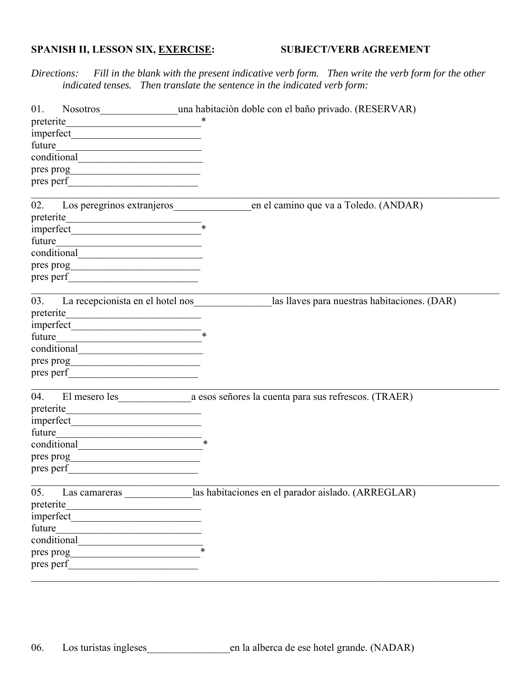# SPANISH II, LESSON SIX, EXERCISE:

### **SUBJECT/VERB AGREEMENT**

Fill in the blank with the present indicative verb form. Then write the verb form for the other Directions: indicated tenses. Then translate the sentence in the indicated verb form:

| 01.                                                                                                                                |                                                                                   |
|------------------------------------------------------------------------------------------------------------------------------------|-----------------------------------------------------------------------------------|
|                                                                                                                                    |                                                                                   |
|                                                                                                                                    |                                                                                   |
| future<br><u> 1989 - Johann Barn, mars ann an t-Amhair an t-A</u>                                                                  |                                                                                   |
|                                                                                                                                    |                                                                                   |
|                                                                                                                                    |                                                                                   |
|                                                                                                                                    |                                                                                   |
|                                                                                                                                    |                                                                                   |
| 02.                                                                                                                                | Los peregrinos extranjeros en el camino que va a Toledo. (ANDAR)                  |
| $\text{preterite}$                                                                                                                 |                                                                                   |
|                                                                                                                                    |                                                                                   |
| future<br><u> 1989 - Johann Barn, fransk politik (d. 1989)</u>                                                                     |                                                                                   |
|                                                                                                                                    |                                                                                   |
|                                                                                                                                    |                                                                                   |
|                                                                                                                                    |                                                                                   |
|                                                                                                                                    |                                                                                   |
|                                                                                                                                    | 03. La recepcionista en el hotel nos las llaves para nuestras habitaciones. (DAR) |
|                                                                                                                                    |                                                                                   |
| $imperfect$ $\qquad \qquad$                                                                                                        |                                                                                   |
| future                                                                                                                             |                                                                                   |
| conditional expansion of the conditional                                                                                           |                                                                                   |
|                                                                                                                                    |                                                                                   |
|                                                                                                                                    |                                                                                   |
|                                                                                                                                    |                                                                                   |
|                                                                                                                                    |                                                                                   |
|                                                                                                                                    |                                                                                   |
|                                                                                                                                    |                                                                                   |
| future<br>$\overline{\phantom{a}}$                                                                                                 |                                                                                   |
|                                                                                                                                    |                                                                                   |
|                                                                                                                                    |                                                                                   |
|                                                                                                                                    |                                                                                   |
|                                                                                                                                    | 05. Las camareras las habitaciones en el parador aislado. (ARREGLAR)              |
| preterite                                                                                                                          |                                                                                   |
| <u> 1980 - Johann Johann Stoff, deutscher Stoffen und der Stoffen und der Stoffen und der Stoffen und der Stoffen</u><br>imperfect |                                                                                   |
| future                                                                                                                             |                                                                                   |
| conditional                                                                                                                        |                                                                                   |
|                                                                                                                                    |                                                                                   |
| pres prog<br>pres perf                                                                                                             |                                                                                   |
|                                                                                                                                    |                                                                                   |
|                                                                                                                                    |                                                                                   |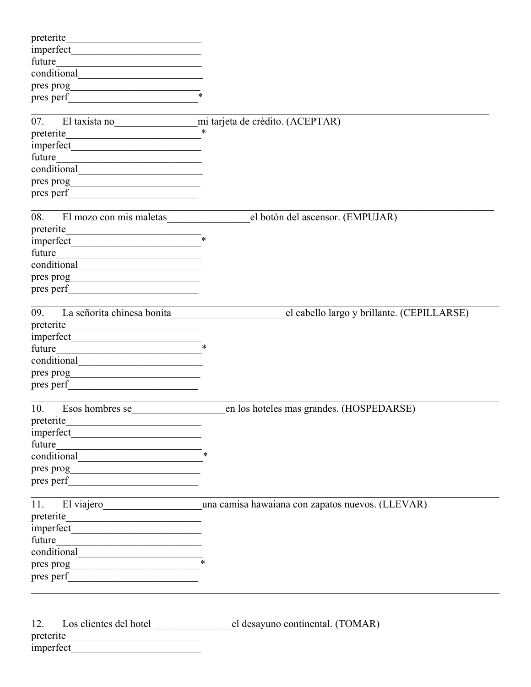| future<br>the control of the control of the control of the control of the control of<br>pres perf<br>07. El taxista no mi tarjeta de crèdito. (ACEPTAR)<br>future                          |                                                                 |
|--------------------------------------------------------------------------------------------------------------------------------------------------------------------------------------------|-----------------------------------------------------------------|
|                                                                                                                                                                                            |                                                                 |
| El mozo con mis maletas<br>08.<br>future<br><u> 2008 - Johann Stoff, deutscher Stoff und der Stoff und der Stoff und der Stoff und der Stoff und der Stoff un</u><br>pres perf             | el botòn del ascensor. (EMPUJAR)<br>-<br>*                      |
| La señorita chinesa bonita<br>09.<br>preterite<br><u> 1980 - Johann Barn, fransk politik (</u><br>future<br><u> 1986 - Johann Stein, Amerikaansk politiker (</u><br>pres prog<br>pres perf | el cabello largo y brillante. (CEPILLARSE)                      |
| 10.<br>Esos hombres se<br>preterite<br><u> 1989 - Johann Stoff, skriuwer en fan it ferskearre fan it ferskearre fan it ferskearre fan it ferskearre fan i</u><br>future                    | en los hoteles mas grandes. (HOSPEDARSE)                        |
| future                                                                                                                                                                                     | 11. El viajero una camisa hawaiana con zapatos nuevos. (LLEVAR) |
| 12.<br>preterite<br>imperfect                                                                                                                                                              |                                                                 |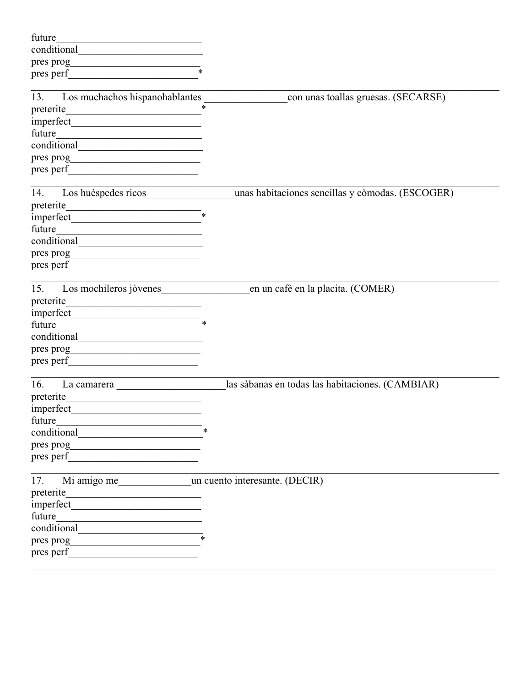| future<br>the control of the control of the control of the control of the control of                                                                                                                                          |                                                  |
|-------------------------------------------------------------------------------------------------------------------------------------------------------------------------------------------------------------------------------|--------------------------------------------------|
|                                                                                                                                                                                                                               |                                                  |
| $\frac{1}{2}$ pres prog                                                                                                                                                                                                       |                                                  |
|                                                                                                                                                                                                                               |                                                  |
|                                                                                                                                                                                                                               |                                                  |
| Los muchachos hispanohablantes<br>13.                                                                                                                                                                                         | con unas toallas gruesas. (SECARSE)              |
|                                                                                                                                                                                                                               | $\ast$                                           |
|                                                                                                                                                                                                                               |                                                  |
| future<br><u> 1989 - Johann John Stein, markin fan it ferskearre fan it ferskearre fan it ferskearre fan it ferskearre fan</u>                                                                                                |                                                  |
| conditional example and the conditional                                                                                                                                                                                       |                                                  |
|                                                                                                                                                                                                                               |                                                  |
| pres perf                                                                                                                                                                                                                     |                                                  |
| Los huèspedes ricos<br>14.                                                                                                                                                                                                    | unas habitaciones sencillas y còmodas. (ESCOGER) |
| preterite                                                                                                                                                                                                                     |                                                  |
|                                                                                                                                                                                                                               |                                                  |
| future                                                                                                                                                                                                                        |                                                  |
|                                                                                                                                                                                                                               |                                                  |
|                                                                                                                                                                                                                               |                                                  |
| pres perf                                                                                                                                                                                                                     |                                                  |
| Los mochileros jòvenes<br>15.                                                                                                                                                                                                 | en un cafè en la placita. (COMER)                |
| preterite<br><u> 1989 - Johann John Stein, mars ar breist fan de Amerikaanske kommerkear</u>                                                                                                                                  |                                                  |
|                                                                                                                                                                                                                               |                                                  |
| future<br><u> 1989 - Johann Barbara, martxa alemaniar arg</u>                                                                                                                                                                 |                                                  |
|                                                                                                                                                                                                                               |                                                  |
| pres prog                                                                                                                                                                                                                     |                                                  |
|                                                                                                                                                                                                                               |                                                  |
| 16.                                                                                                                                                                                                                           | las sàbanas en todas las habitaciones. (CAMBIAR) |
| preterite                                                                                                                                                                                                                     |                                                  |
| imperfect<br>the contract of the contract of the contract of the contract of                                                                                                                                                  |                                                  |
| future                                                                                                                                                                                                                        |                                                  |
| conditional                                                                                                                                                                                                                   |                                                  |
| pres prog                                                                                                                                                                                                                     |                                                  |
| pres perf                                                                                                                                                                                                                     |                                                  |
| 17. Mi amigo me un cuento interesante. (DECIR)                                                                                                                                                                                |                                                  |
| preterite<br><u> 1980 - Jan Barbara, manazarta bashkar </u>                                                                                                                                                                   |                                                  |
| imperfect and the contract of the contract of the contract of the contract of the contract of the contract of                                                                                                                 |                                                  |
| future                                                                                                                                                                                                                        |                                                  |
| conditional example and the set of the set of the set of the set of the set of the set of the set of the set of the set of the set of the set of the set of the set of the set of the set of the set of the set of the set of |                                                  |
| pres prog<br><u> 1980 - Johann John Stein, mars an de Francisco (f. 19</u>                                                                                                                                                    |                                                  |
| pres perf                                                                                                                                                                                                                     |                                                  |
|                                                                                                                                                                                                                               |                                                  |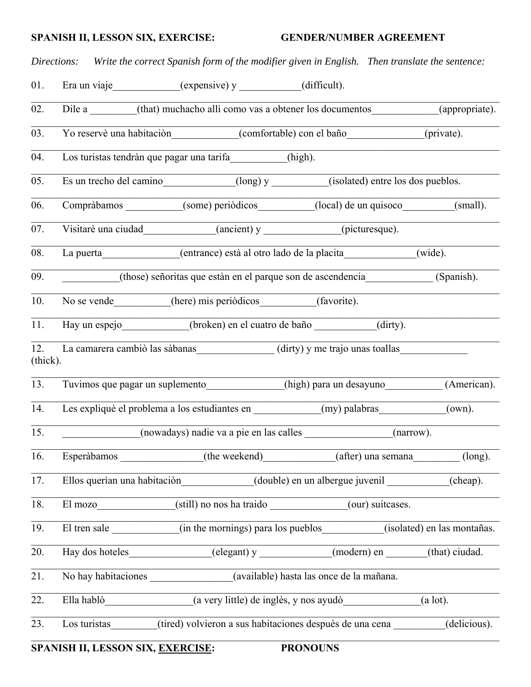### **SPANISH II, LESSON SIX, EXERCISE: GENDER/NUMBER AGREEMENT**

*Directions: Write the correct Spanish form of the modifier given in English. Then translate the sentence:* 01. Era un viaje (expensive) y (difficult). 02. Dile a  $_{\text{(that)}}$  muchacho allì como vas a obtener los documentos (appropriate). 03. Yo reservè una habitaciòn (comfortable) con el baño (private). 04. Los turistas tendràn que pagar una tarifa\_\_\_\_\_\_\_\_\_\_\_(high). 05. Es un trecho del camino (long) y (isolated) entre los dos pueblos. 06. Compràbamos (some) periòdicos (local) de un quisoco (small). 07. Visitarè una ciudad (ancient) y (picturesque). 08. La puerta (entrance) està al otro lado de la placita (wide). 09. (those) señoritas que estàn en el parque son de ascendencia (Spanish). 10. No se vende (here) mis periòdicos (favorite). 11. Hay un espejo (broken) en el cuatro de baño (dirty). 12. La camarera cambiò las sàbanas (dirty) y me trajo unas toallas (thick). 13. Tuvimos que pagar un suplemento (high) para un desayuno (American). 14. Les expliquè el problema a los estudiantes en  $\qquad \qquad$  (my) palabras (own).  $\_$  , and the set of the set of the set of the set of the set of the set of the set of the set of the set of the set of the set of the set of the set of the set of the set of the set of the set of the set of the set of th 15. \_\_\_\_\_\_\_\_\_\_\_\_\_\_\_(nowadays) nadie va a pie en las calles \_\_\_\_\_\_\_\_\_\_\_\_\_\_\_\_\_(narrow). 16. Esperàbamos (the weekend) (after) una semana (long). 17. Ellos querìan una habitaciòn (double) en un albergue juvenil (cheap). 18. El mozo (still) no nos ha traido (our) suitcases. 19. El tren sale  $\qquad \qquad$  (in the mornings) para los pueblos  $\qquad \qquad$  (isolated) en las montañas.  $\_$  , and the set of the set of the set of the set of the set of the set of the set of the set of the set of the set of the set of the set of the set of the set of the set of the set of the set of the set of the set of th 20. Hay dos hoteles (elegant) y (modern) en (that) ciudad. 21. No hay habitaciones (available) hasta las once de la mañana. 22. Ella hablò (a very little) de inglès, y nos ayudò (a lot). 23. Los turistas (tired) volvieron a sus habitaciones despuès de una cena (delicious).

# **SPANISH II, LESSON SIX, EXERCISE: PRONOUNS**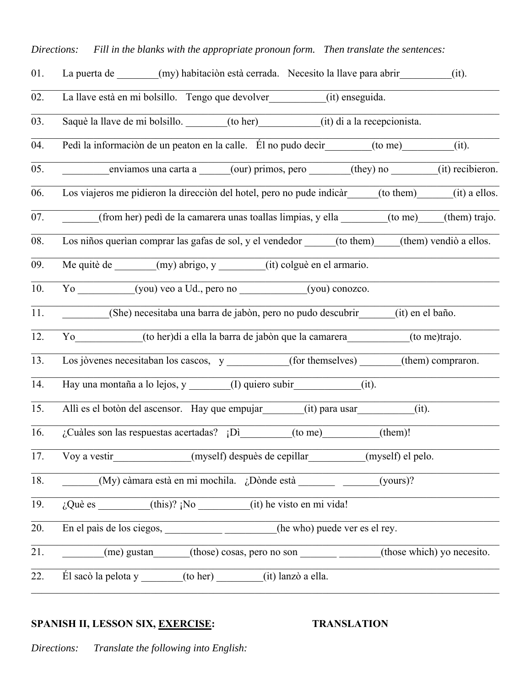| La puerta de (my) habitación está cerrada. Necesito la llave para abrir<br>(it).                |
|-------------------------------------------------------------------------------------------------|
| La llave està en mi bolsillo. Tengo que devolver (it) enseguida.                                |
| Saquè la llave de mi bolsillo. (to her) (it) di a la recepcionista.                             |
| Pedì la informaciòn de un peaton en la calle.  Él no pudo decir______(to me)__________<br>(it). |
| enviamos una carta a _____(our) primos, pero ______(they) no ______(it) recibieron.             |
| Los viajeros me pidieron la dirección del hotel, pero no pude indicàr (to them) (it) a ellos.   |
| (from her) pedì de la camarera unas toallas limpias, y ella _______(to me) (them) trajo.        |
| Los niños querían comprar las gafas de sol, y el vendedor (to them) (them) vendiò a ellos.      |
| Me quitè de ______(my) abrigo, y ______(it) colguè en el armario.                               |
| Yo (you) veo a Ud., pero no (you) conozco.                                                      |
| (She) necesitaba una barra de jabòn, pero no pudo descubrir<br>(it) en el baño.                 |
| Yo (to her) di a ella la barra de jabòn que la camarera (to me)trajo.                           |
| Los jòvenes necesitaban los cascos, y _________(for themselves) _____(them) compraron.          |
| Hay una montaña a lo lejos, y ________(I) quiero subir _____________(it).                       |
| Allì es el botòn del ascensor. Hay que empujar (it) para usar<br>(it).                          |
| $i$ Cuàles son las respuestas acertadas? $i$ Di (to me) (them)!                                 |
| Voy a vestir (myself) despuès de cepillar (myself) el pelo.                                     |
|                                                                                                 |
| $\frac{1}{6}$ Què es (this)? ¡No (it) he visto en mi vida!                                      |
| En el país de los ciegos, ________________________(he who) puede ver es el rey.                 |
| (those which) yo necesito.                                                                      |
| El sacò la pelota y ______(to her) ______(it) lanzò a ella.                                     |
|                                                                                                 |

# **SPANISH II, LESSON SIX, <u>EXERCISE</u>: TRANSLATION**

*Directions: Translate the following into English:*